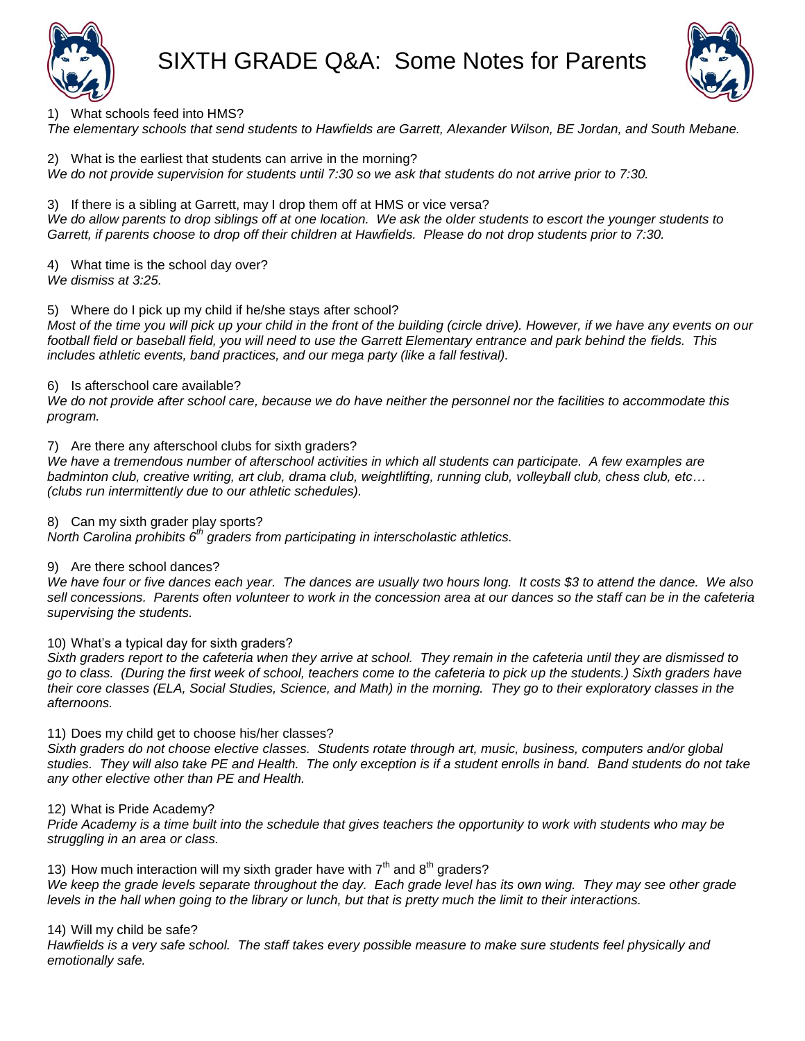

1) What schools feed into HMS?

*The elementary schools that send students to Hawfields are Garrett, Alexander Wilson, BE Jordan, and South Mebane.*

2) What is the earliest that students can arrive in the morning? *We do not provide supervision for students until 7:30 so we ask that students do not arrive prior to 7:30.*

3) If there is a sibling at Garrett, may I drop them off at HMS or vice versa? *We do allow parents to drop siblings off at one location. We ask the older students to escort the younger students to Garrett, if parents choose to drop off their children at Hawfields. Please do not drop students prior to 7:30.*

4) What time is the school day over? *We dismiss at 3:25.*

5) Where do I pick up my child if he/she stays after school?

*Most of the time you will pick up your child in the front of the building (circle drive). However, if we have any events on our football field or baseball field, you will need to use the Garrett Elementary entrance and park behind the fields. This includes athletic events, band practices, and our mega party (like a fall festival).*

6) Is afterschool care available?

*We do not provide after school care, because we do have neither the personnel nor the facilities to accommodate this program.* 

## 7) Are there any afterschool clubs for sixth graders?

*We have a tremendous number of afterschool activities in which all students can participate. A few examples are badminton club, creative writing, art club, drama club, weightlifting, running club, volleyball club, chess club, etc… (clubs run intermittently due to our athletic schedules).*

8) Can my sixth grader play sports?

*North Carolina prohibits 6th graders from participating in interscholastic athletics.*

## 9) Are there school dances?

*We have four or five dances each year. The dances are usually two hours long. It costs \$3 to attend the dance. We also sell concessions. Parents often volunteer to work in the concession area at our dances so the staff can be in the cafeteria supervising the students.*

10) What's a typical day for sixth graders?

*Sixth graders report to the cafeteria when they arrive at school. They remain in the cafeteria until they are dismissed to go to class. (During the first week of school, teachers come to the cafeteria to pick up the students.) Sixth graders have their core classes (ELA, Social Studies, Science, and Math) in the morning. They go to their exploratory classes in the afternoons.* 

11) Does my child get to choose his/her classes?

*Sixth graders do not choose elective classes. Students rotate through art, music, business, computers and/or global studies. They will also take PE and Health. The only exception is if a student enrolls in band. Band students do not take any other elective other than PE and Health.*

# 12) What is Pride Academy?

*Pride Academy is a time built into the schedule that gives teachers the opportunity to work with students who may be struggling in an area or class.* 

13) How much interaction will my sixth grader have with  $7<sup>th</sup>$  and  $8<sup>th</sup>$  graders? We keep the grade levels separate throughout the day. Each grade level has its own wing. They may see other grade *levels in the hall when going to the library or lunch, but that is pretty much the limit to their interactions.*

14) Will my child be safe?

*Hawfields is a very safe school. The staff takes every possible measure to make sure students feel physically and emotionally safe.*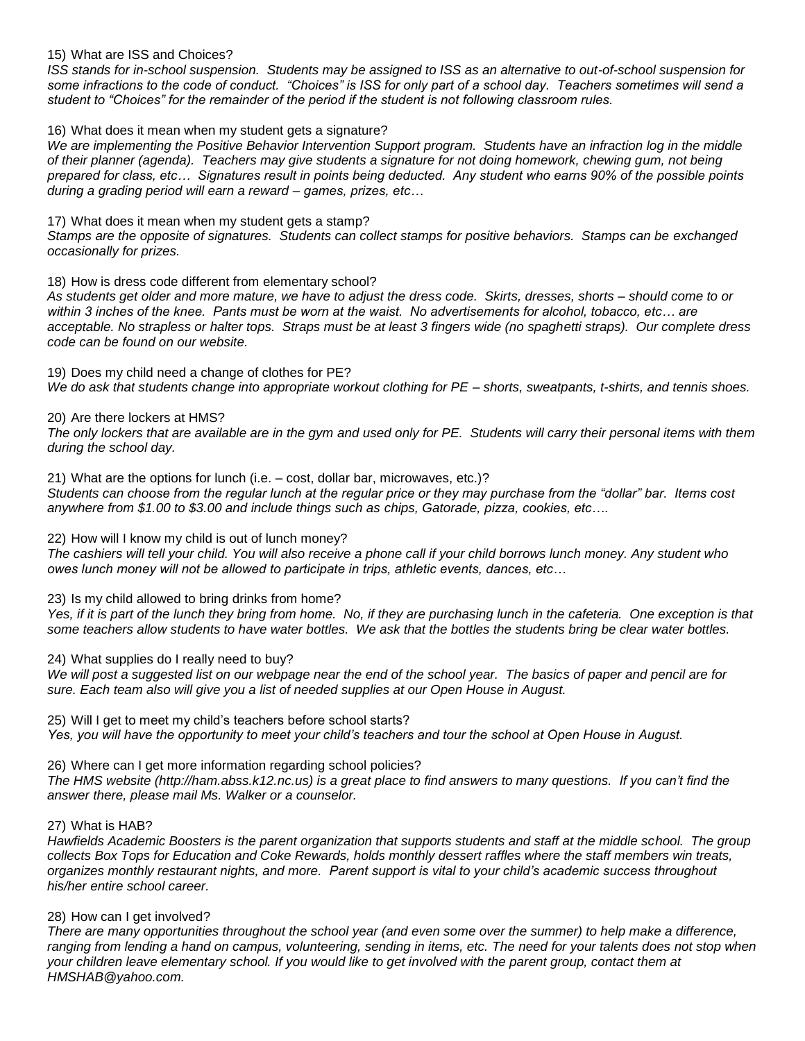## 15) What are ISS and Choices?

*ISS stands for in-school suspension. Students may be assigned to ISS as an alternative to out-of-school suspension for some infractions to the code of conduct. "Choices" is ISS for only part of a school day. Teachers sometimes will send a student to "Choices" for the remainder of the period if the student is not following classroom rules.*

16) What does it mean when my student gets a signature?

We are implementing the Positive Behavior Intervention Support program. Students have an infraction log in the middle *of their planner (agenda). Teachers may give students a signature for not doing homework, chewing gum, not being prepared for class, etc… Signatures result in points being deducted. Any student who earns 90% of the possible points during a grading period will earn a reward – games, prizes, etc…*

17) What does it mean when my student gets a stamp?

*Stamps are the opposite of signatures. Students can collect stamps for positive behaviors. Stamps can be exchanged occasionally for prizes.*

### 18) How is dress code different from elementary school?

*As students get older and more mature, we have to adjust the dress code. Skirts, dresses, shorts – should come to or within 3 inches of the knee. Pants must be worn at the waist. No advertisements for alcohol, tobacco, etc… are acceptable. No strapless or halter tops. Straps must be at least 3 fingers wide (no spaghetti straps). Our complete dress code can be found on our website.*

19) Does my child need a change of clothes for PE? *We do ask that students change into appropriate workout clothing for PE – shorts, sweatpants, t-shirts, and tennis shoes.*

### 20) Are there lockers at HMS?

*The only lockers that are available are in the gym and used only for PE. Students will carry their personal items with them during the school day.*

21) What are the options for lunch (i.e. – cost, dollar bar, microwaves, etc.)? *Students can choose from the regular lunch at the regular price or they may purchase from the "dollar" bar. Items cost anywhere from \$1.00 to \$3.00 and include things such as chips, Gatorade, pizza, cookies, etc….*

22) How will I know my child is out of lunch money?

*The cashiers will tell your child. You will also receive a phone call if your child borrows lunch money. Any student who owes lunch money will not be allowed to participate in trips, athletic events, dances, etc…*

23) Is my child allowed to bring drinks from home?

*Yes, if it is part of the lunch they bring from home. No, if they are purchasing lunch in the cafeteria. One exception is that some teachers allow students to have water bottles. We ask that the bottles the students bring be clear water bottles.*

24) What supplies do I really need to buy?

*We will post a suggested list on our webpage near the end of the school year. The basics of paper and pencil are for sure. Each team also will give you a list of needed supplies at our Open House in August.* 

25) Will I get to meet my child's teachers before school starts? *Yes, you will have the opportunity to meet your child's teachers and tour the school at Open House in August.*

26) Where can I get more information regarding school policies?

*The HMS website (http://ham.abss.k12.nc.us) is a great place to find answers to many questions. If you can't find the answer there, please mail Ms. Walker or a counselor.*

### 27) What is HAB?

*Hawfields Academic Boosters is the parent organization that supports students and staff at the middle school. The group collects Box Tops for Education and Coke Rewards, holds monthly dessert raffles where the staff members win treats, organizes monthly restaurant nights, and more. Parent support is vital to your child's academic success throughout his/her entire school career.*

## 28) How can I get involved?

*There are many opportunities throughout the school year (and even some over the summer) to help make a difference, ranging from lending a hand on campus, volunteering, sending in items, etc. The need for your talents does not stop when your children leave elementary school. If you would like to get involved with the parent group, contact them at HMSHAB@yahoo.com.*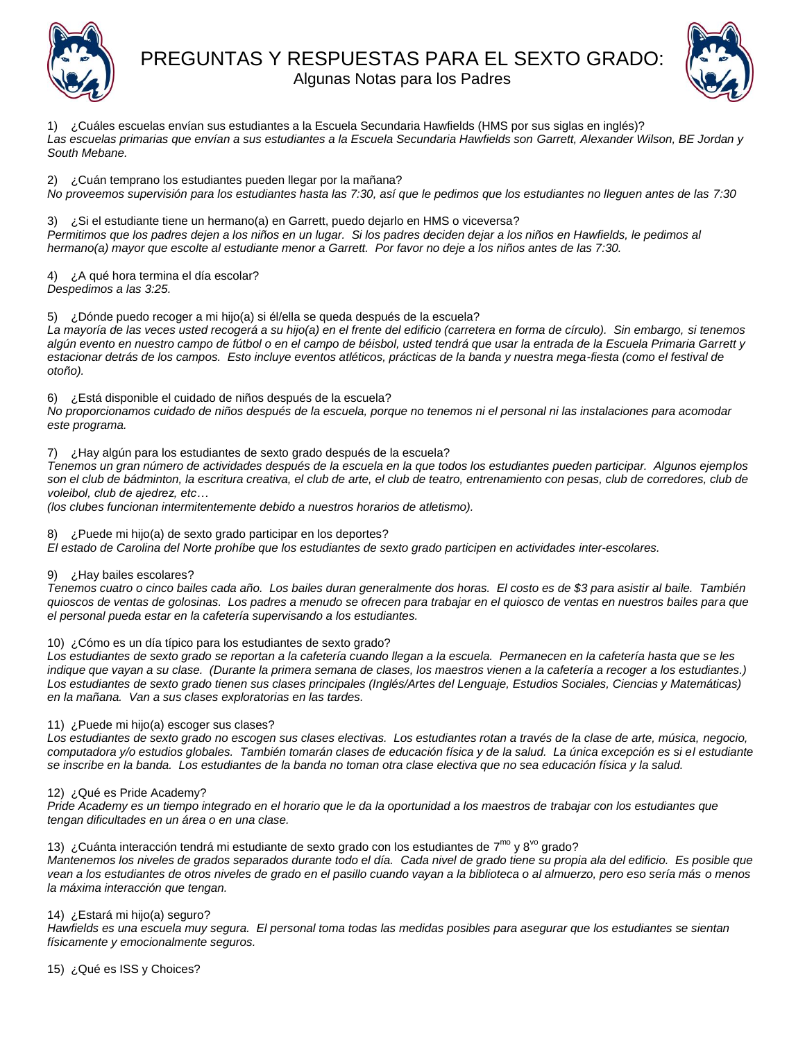

PREGUNTAS Y RESPUESTAS PARA EL SEXTO GRADO:



Algunas Notas para los Padres

1) ¿Cuáles escuelas envían sus estudiantes a la Escuela Secundaria Hawfields (HMS por sus siglas en inglés)? *Las escuelas primarias que envían a sus estudiantes a la Escuela Secundaria Hawfields son Garrett, Alexander Wilson, BE Jordan y South Mebane.*

2) ¿Cuán temprano los estudiantes pueden llegar por la mañana? *No proveemos supervisión para los estudiantes hasta las 7:30, así que le pedimos que los estudiantes no lleguen antes de las 7:30*

3) ¿Si el estudiante tiene un hermano(a) en Garrett, puedo dejarlo en HMS o viceversa? *Permitimos que los padres dejen a los niños en un lugar. Si los padres deciden dejar a los niños en Hawfields, le pedimos al hermano(a) mayor que escolte al estudiante menor a Garrett. Por favor no deje a los niños antes de las 7:30.* 

4) ¿A qué hora termina el día escolar? *Despedimos a las 3:25.*

5) ¿Dónde puedo recoger a mi hijo(a) si él/ella se queda después de la escuela?

*La mayoría de las veces usted recogerá a su hijo(a) en el frente del edificio (carretera en forma de círculo). Sin embargo, si tenemos algún evento en nuestro campo de fútbol o en el campo de béisbol, usted tendrá que usar la entrada de la Escuela Primaria Garrett y estacionar detrás de los campos. Esto incluye eventos atléticos, prácticas de la banda y nuestra mega-fiesta (como el festival de otoño).* 

6) ¿Está disponible el cuidado de niños después de la escuela?

*No proporcionamos cuidado de niños después de la escuela, porque no tenemos ni el personal ni las instalaciones para acomodar este programa.* 

## 7) ¿Hay algún para los estudiantes de sexto grado después de la escuela?

*Tenemos un gran número de actividades después de la escuela en la que todos los estudiantes pueden participar. Algunos ejemplos son el club de bádminton, la escritura creativa, el club de arte, el club de teatro, entrenamiento con pesas, club de corredores, club de voleibol, club de ajedrez, etc…* 

*(los clubes funcionan intermitentemente debido a nuestros horarios de atletismo).* 

### 8) ¿Puede mi hijo(a) de sexto grado participar en los deportes?

*El estado de Carolina del Norte prohíbe que los estudiantes de sexto grado participen en actividades inter-escolares.*

### 9) ¿Hay bailes escolares?

*Tenemos cuatro o cinco bailes cada año. Los bailes duran generalmente dos horas. El costo es de \$3 para asistir al baile. También quioscos de ventas de golosinas. Los padres a menudo se ofrecen para trabajar en el quiosco de ventas en nuestros bailes para que el personal pueda estar en la cafetería supervisando a los estudiantes.* 

### 10) ¿Cómo es un día típico para los estudiantes de sexto grado?

*Los estudiantes de sexto grado se reportan a la cafetería cuando llegan a la escuela. Permanecen en la cafetería hasta que se les indique que vayan a su clase. (Durante la primera semana de clases, los maestros vienen a la cafetería a recoger a los estudiantes.) Los estudiantes de sexto grado tienen sus clases principales (Inglés/Artes del Lenguaje, Estudios Sociales, Ciencias y Matemáticas) en la mañana. Van a sus clases exploratorias en las tardes.* 

11) ¿Puede mi hijo(a) escoger sus clases?

*Los estudiantes de sexto grado no escogen sus clases electivas. Los estudiantes rotan a través de la clase de arte, música, negocio, computadora y/o estudios globales. También tomarán clases de educación física y de la salud. La única excepción es si el estudiante se inscribe en la banda. Los estudiantes de la banda no toman otra clase electiva que no sea educación física y la salud.* 

## 12) ¿Qué es Pride Academy?

*Pride Academy es un tiempo integrado en el horario que le da la oportunidad a los maestros de trabajar con los estudiantes que tengan dificultades en un área o en una clase.* 

13) ¿Cuánta interacción tendrá mi estudiante de sexto grado con los estudiantes de 7<sup>mo</sup> y 8<sup>vo</sup> grado?

*Mantenemos los niveles de grados separados durante todo el día. Cada nivel de grado tiene su propia ala del edificio. Es posible que vean a los estudiantes de otros niveles de grado en el pasillo cuando vayan a la biblioteca o al almuerzo, pero eso sería más o menos la máxima interacción que tengan.* 

## 14) ¿Estará mi hijo(a) seguro?

*Hawfields es una escuela muy segura. El personal toma todas las medidas posibles para asegurar que los estudiantes se sientan físicamente y emocionalmente seguros.* 

15) ¿Qué es ISS y Choices?